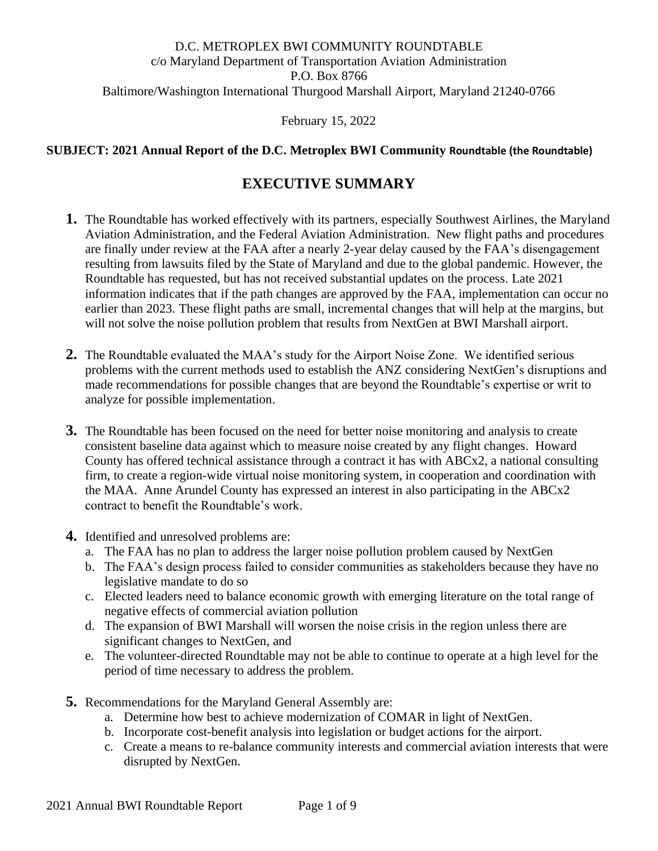#### D.C. METROPLEX BWI COMMUNITY ROUNDTABLE c/o Maryland Department of Transportation Aviation Administration P.O. Box 8766 Baltimore/Washington International Thurgood Marshall Airport, Maryland 21240-0766

February 15, 2022

#### **SUBJECT: 2021 Annual Report of the D.C. Metroplex BWI Community Roundtable (the Roundtable)**

## **EXECUTIVE SUMMARY**

- **1.** The Roundtable has worked effectively with its partners, especially Southwest Airlines, the Maryland Aviation Administration, and the Federal Aviation Administration. New flight paths and procedures are finally under review at the FAA after a nearly 2-year delay caused by the FAA's disengagement resulting from lawsuits filed by the State of Maryland and due to the global pandemic. However, the Roundtable has requested, but has not received substantial updates on the process. Late 2021 information indicates that if the path changes are approved by the FAA, implementation can occur no earlier than 2023. These flight paths are small, incremental changes that will help at the margins, but will not solve the noise pollution problem that results from NextGen at BWI Marshall airport.
- **2.** The Roundtable evaluated the MAA's study for the Airport Noise Zone. We identified serious problems with the current methods used to establish the ANZ considering NextGen's disruptions and made recommendations for possible changes that are beyond the Roundtable's expertise or writ to analyze for possible implementation.
- **3.** The Roundtable has been focused on the need for better noise monitoring and analysis to create consistent baseline data against which to measure noise created by any flight changes. Howard County has offered technical assistance through a contract it has with ABCx2, a national consulting firm, to create a region-wide virtual noise monitoring system, in cooperation and coordination with the MAA. Anne Arundel County has expressed an interest in also participating in the ABCx2 contract to benefit the Roundtable's work.
- **4.** Identified and unresolved problems are:
	- a. The FAA has no plan to address the larger noise pollution problem caused by NextGen
	- b. The FAA's design process failed to consider communities as stakeholders because they have no legislative mandate to do so
	- c. Elected leaders need to balance economic growth with emerging literature on the total range of negative effects of commercial aviation pollution
	- d. The expansion of BWI Marshall will worsen the noise crisis in the region unless there are significant changes to NextGen, and
	- e. The volunteer-directed Roundtable may not be able to continue to operate at a high level for the period of time necessary to address the problem.
- **5.** Recommendations for the Maryland General Assembly are:
	- a. Determine how best to achieve modernization of COMAR in light of NextGen.
	- b. Incorporate cost-benefit analysis into legislation or budget actions for the airport.
	- c. Create a means to re-balance community interests and commercial aviation interests that were disrupted by NextGen.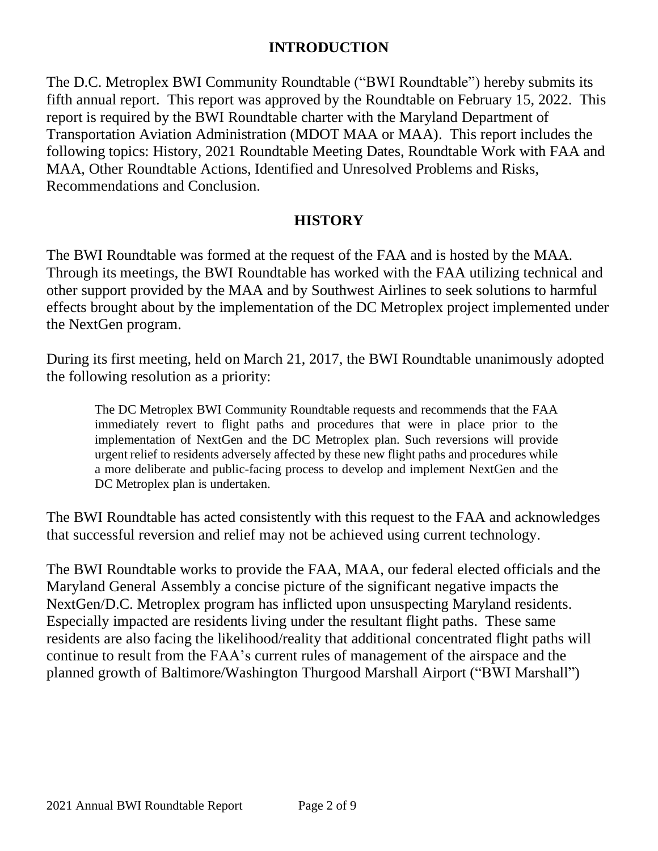#### **INTRODUCTION**

The D.C. Metroplex BWI Community Roundtable ("BWI Roundtable") hereby submits its fifth annual report. This report was approved by the Roundtable on February 15, 2022. This report is required by the BWI Roundtable charter with the Maryland Department of Transportation Aviation Administration (MDOT MAA or MAA). This report includes the following topics: History, 2021 Roundtable Meeting Dates, Roundtable Work with FAA and MAA, Other Roundtable Actions, Identified and Unresolved Problems and Risks, Recommendations and Conclusion.

#### **HISTORY**

The BWI Roundtable was formed at the request of the FAA and is hosted by the MAA. Through its meetings, the BWI Roundtable has worked with the FAA utilizing technical and other support provided by the MAA and by Southwest Airlines to seek solutions to harmful effects brought about by the implementation of the DC Metroplex project implemented under the NextGen program.

During its first meeting, held on March 21, 2017, the BWI Roundtable unanimously adopted the following resolution as a priority:

The DC Metroplex BWI Community Roundtable requests and recommends that the FAA immediately revert to flight paths and procedures that were in place prior to the implementation of NextGen and the DC Metroplex plan. Such reversions will provide urgent relief to residents adversely affected by these new flight paths and procedures while a more deliberate and public-facing process to develop and implement NextGen and the DC Metroplex plan is undertaken.

The BWI Roundtable has acted consistently with this request to the FAA and acknowledges that successful reversion and relief may not be achieved using current technology.

The BWI Roundtable works to provide the FAA, MAA, our federal elected officials and the Maryland General Assembly a concise picture of the significant negative impacts the NextGen/D.C. Metroplex program has inflicted upon unsuspecting Maryland residents. Especially impacted are residents living under the resultant flight paths. These same residents are also facing the likelihood/reality that additional concentrated flight paths will continue to result from the FAA's current rules of management of the airspace and the planned growth of Baltimore/Washington Thurgood Marshall Airport ("BWI Marshall")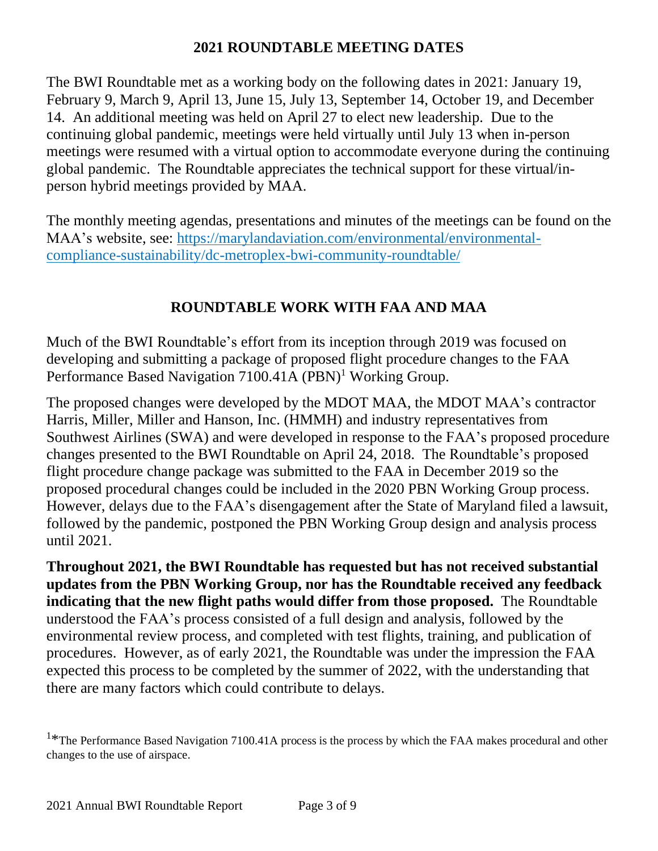#### **2021 ROUNDTABLE MEETING DATES**

The BWI Roundtable met as a working body on the following dates in 2021: January 19, February 9, March 9, April 13, June 15, July 13, September 14, October 19, and December 14. An additional meeting was held on April 27 to elect new leadership. Due to the continuing global pandemic, meetings were held virtually until July 13 when in-person meetings were resumed with a virtual option to accommodate everyone during the continuing global pandemic. The Roundtable appreciates the technical support for these virtual/inperson hybrid meetings provided by MAA.

The monthly meeting agendas, presentations and minutes of the meetings can be found on the MAA's website, see: [https://marylandaviation.com/environmental/environmental](https://marylandaviation.com/environmental/environmental-compliance-sustainability/dc-metroplex-bwi-community-roundtable/)[compliance-sustainability/dc-metroplex-bwi-community-roundtable/](https://marylandaviation.com/environmental/environmental-compliance-sustainability/dc-metroplex-bwi-community-roundtable/)

# **ROUNDTABLE WORK WITH FAA AND MAA**

Much of the BWI Roundtable's effort from its inception through 2019 was focused on developing and submitting a package of proposed flight procedure changes to the FAA Performance Based Navigation 7100.41A (PBN)<sup>1</sup> Working Group.

The proposed changes were developed by the MDOT MAA, the MDOT MAA's contractor Harris, Miller, Miller and Hanson, Inc. (HMMH) and industry representatives from Southwest Airlines (SWA) and were developed in response to the FAA's proposed procedure changes presented to the BWI Roundtable on April 24, 2018. The Roundtable's proposed flight procedure change package was submitted to the FAA in December 2019 so the proposed procedural changes could be included in the 2020 PBN Working Group process. However, delays due to the FAA's disengagement after the State of Maryland filed a lawsuit, followed by the pandemic, postponed the PBN Working Group design and analysis process until 2021.

**Throughout 2021, the BWI Roundtable has requested but has not received substantial updates from the PBN Working Group, nor has the Roundtable received any feedback indicating that the new flight paths would differ from those proposed.** The Roundtable understood the FAA's process consisted of a full design and analysis, followed by the environmental review process, and completed with test flights, training, and publication of procedures. However, as of early 2021, the Roundtable was under the impression the FAA expected this process to be completed by the summer of 2022, with the understanding that there are many factors which could contribute to delays.

<sup>&</sup>lt;sup>1\*</sup>The Performance Based Navigation 7100.41A process is the process by which the FAA makes procedural and other changes to the use of airspace.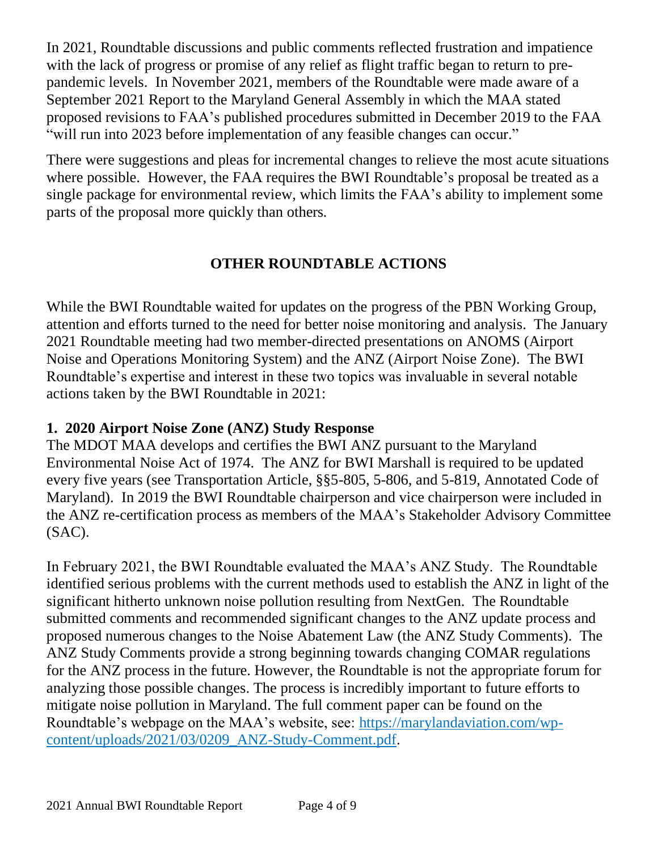In 2021, Roundtable discussions and public comments reflected frustration and impatience with the lack of progress or promise of any relief as flight traffic began to return to prepandemic levels. In November 2021, members of the Roundtable were made aware of a September 2021 Report to the Maryland General Assembly in which the MAA stated proposed revisions to FAA's published procedures submitted in December 2019 to the FAA "will run into 2023 before implementation of any feasible changes can occur."

There were suggestions and pleas for incremental changes to relieve the most acute situations where possible. However, the FAA requires the BWI Roundtable's proposal be treated as a single package for environmental review, which limits the FAA's ability to implement some parts of the proposal more quickly than others*.*

# **OTHER ROUNDTABLE ACTIONS**

While the BWI Roundtable waited for updates on the progress of the PBN Working Group, attention and efforts turned to the need for better noise monitoring and analysis. The January 2021 Roundtable meeting had two member-directed presentations on ANOMS (Airport Noise and Operations Monitoring System) and the ANZ (Airport Noise Zone). The BWI Roundtable's expertise and interest in these two topics was invaluable in several notable actions taken by the BWI Roundtable in 2021:

# **1. 2020 Airport Noise Zone (ANZ) Study Response**

The MDOT MAA develops and certifies the BWI ANZ pursuant to the Maryland Environmental Noise Act of 1974. The ANZ for BWI Marshall is required to be updated every five years (see Transportation Article, §§5-805, 5-806, and 5-819, Annotated Code of Maryland). In 2019 the BWI Roundtable chairperson and vice chairperson were included in the ANZ re-certification process as members of the MAA's Stakeholder Advisory Committee (SAC).

In February 2021, the BWI Roundtable evaluated the MAA's ANZ Study. The Roundtable identified serious problems with the current methods used to establish the ANZ in light of the significant hitherto unknown noise pollution resulting from NextGen. The Roundtable submitted comments and recommended significant changes to the ANZ update process and proposed numerous changes to the Noise Abatement Law (the ANZ Study Comments). The ANZ Study Comments provide a strong beginning towards changing COMAR regulations for the ANZ process in the future. However, the Roundtable is not the appropriate forum for analyzing those possible changes. The process is incredibly important to future efforts to mitigate noise pollution in Maryland. The full comment paper can be found on the Roundtable's webpage on the MAA's website, see: [https://marylandaviation.com/wp](https://marylandaviation.com/wp-content/uploads/2021/03/0209_ANZ-Study-Comment.pdf)[content/uploads/2021/03/0209\\_ANZ-Study-Comment.pdf.](https://marylandaviation.com/wp-content/uploads/2021/03/0209_ANZ-Study-Comment.pdf)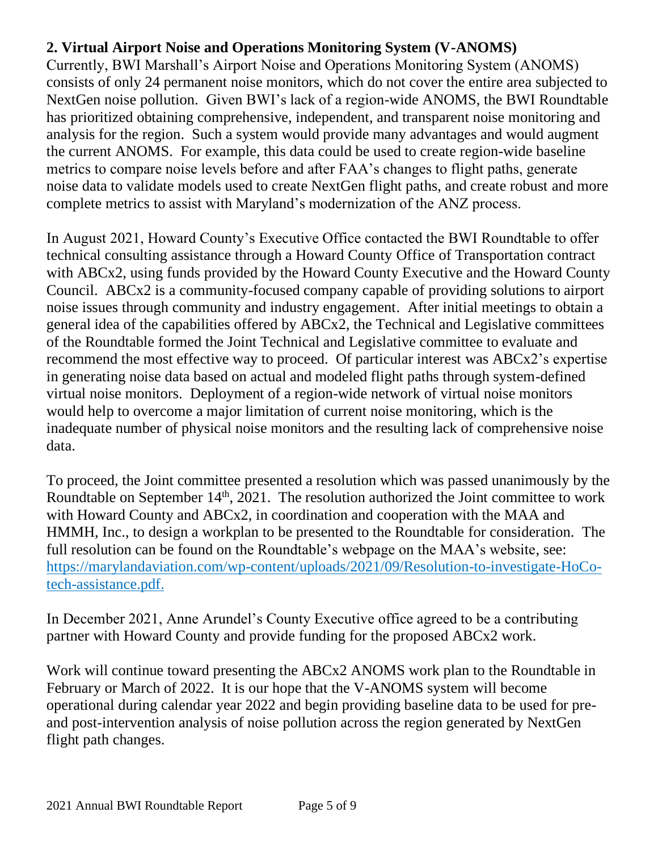# **2. Virtual Airport Noise and Operations Monitoring System (V-ANOMS)**

Currently, BWI Marshall's Airport Noise and Operations Monitoring System (ANOMS) consists of only 24 permanent noise monitors, which do not cover the entire area subjected to NextGen noise pollution. Given BWI's lack of a region-wide ANOMS, the BWI Roundtable has prioritized obtaining comprehensive, independent, and transparent noise monitoring and analysis for the region. Such a system would provide many advantages and would augment the current ANOMS. For example, this data could be used to create region-wide baseline metrics to compare noise levels before and after FAA's changes to flight paths, generate noise data to validate models used to create NextGen flight paths, and create robust and more complete metrics to assist with Maryland's modernization of the ANZ process.

In August 2021, Howard County's Executive Office contacted the BWI Roundtable to offer technical consulting assistance through a Howard County Office of Transportation contract with ABCx2, using funds provided by the Howard County Executive and the Howard County Council. ABCx2 is a community-focused company capable of providing solutions to airport noise issues through community and industry engagement. After initial meetings to obtain a general idea of the capabilities offered by ABCx2, the Technical and Legislative committees of the Roundtable formed the Joint Technical and Legislative committee to evaluate and recommend the most effective way to proceed. Of particular interest was ABCx2's expertise in generating noise data based on actual and modeled flight paths through system-defined virtual noise monitors. Deployment of a region-wide network of virtual noise monitors would help to overcome a major limitation of current noise monitoring, which is the inadequate number of physical noise monitors and the resulting lack of comprehensive noise data.

To proceed, the Joint committee presented a resolution which was passed unanimously by the Roundtable on September  $14<sup>th</sup>$ , 2021. The resolution authorized the Joint committee to work with Howard County and ABCx2, in coordination and cooperation with the MAA and HMMH, Inc., to design a workplan to be presented to the Roundtable for consideration. The full resolution can be found on the Roundtable's webpage on the MAA's website, see: [https://marylandaviation.com/wp-content/uploads/2021/09/Resolution-to-investigate-HoCo](https://marylandaviation.com/wp-content/uploads/2021/09/Resolution-to-investigate-HoCo-tech-assistance.pdf)[tech-assistance.pdf.](https://marylandaviation.com/wp-content/uploads/2021/09/Resolution-to-investigate-HoCo-tech-assistance.pdf)

In December 2021, Anne Arundel's County Executive office agreed to be a contributing partner with Howard County and provide funding for the proposed ABCx2 work.

Work will continue toward presenting the ABCx2 ANOMS work plan to the Roundtable in February or March of 2022. It is our hope that the V-ANOMS system will become operational during calendar year 2022 and begin providing baseline data to be used for preand post-intervention analysis of noise pollution across the region generated by NextGen flight path changes.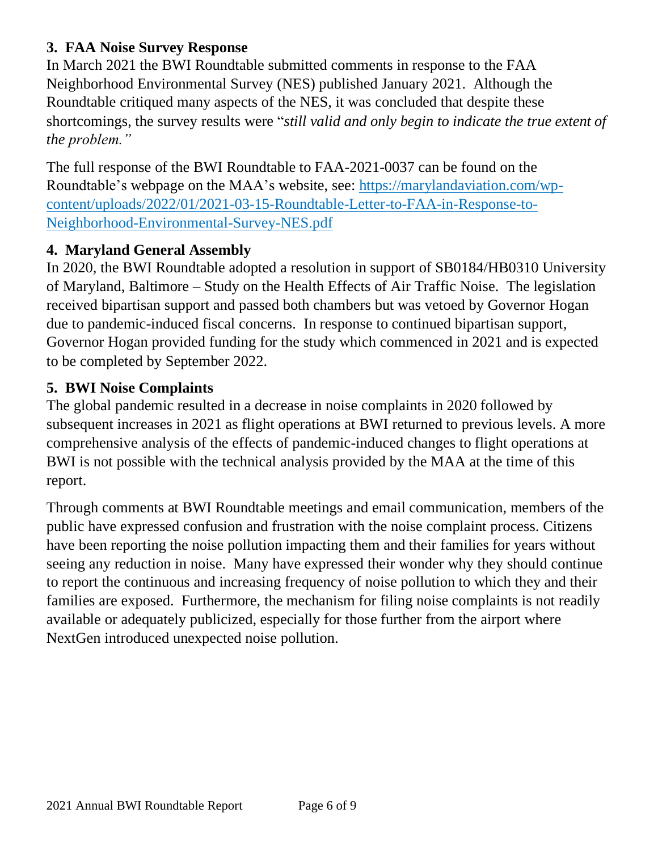# **3. FAA Noise Survey Response**

In March 2021 the BWI Roundtable submitted comments in response to the FAA Neighborhood Environmental Survey (NES) published January 2021. Although the Roundtable critiqued many aspects of the NES, it was concluded that despite these shortcomings, the survey results were "*still valid and only begin to indicate the true extent of the problem."*

The full response of the BWI Roundtable to FAA-2021-0037 can be found on the Roundtable's webpage on the MAA's website, see: https://marylandaviation.com/wpcontent/uploads/2022/01/2021-03-15-Roundtable-Letter-to-FAA-in-Response-to-Neighborhood-Environmental-Survey-NES.pdf

# **4. Maryland General Assembly**

In 2020, the BWI Roundtable adopted a resolution in support of SB0184/HB0310 University of Maryland, Baltimore – Study on the Health Effects of Air Traffic Noise. The legislation received bipartisan support and passed both chambers but was vetoed by Governor Hogan due to pandemic-induced fiscal concerns. In response to continued bipartisan support, Governor Hogan provided funding for the study which commenced in 2021 and is expected to be completed by September 2022.

# **5. BWI Noise Complaints**

The global pandemic resulted in a decrease in noise complaints in 2020 followed by subsequent increases in 2021 as flight operations at BWI returned to previous levels. A more comprehensive analysis of the effects of pandemic-induced changes to flight operations at BWI is not possible with the technical analysis provided by the MAA at the time of this report.

Through comments at BWI Roundtable meetings and email communication, members of the public have expressed confusion and frustration with the noise complaint process. Citizens have been reporting the noise pollution impacting them and their families for years without seeing any reduction in noise. Many have expressed their wonder why they should continue to report the continuous and increasing frequency of noise pollution to which they and their families are exposed. Furthermore, the mechanism for filing noise complaints is not readily available or adequately publicized, especially for those further from the airport where NextGen introduced unexpected noise pollution.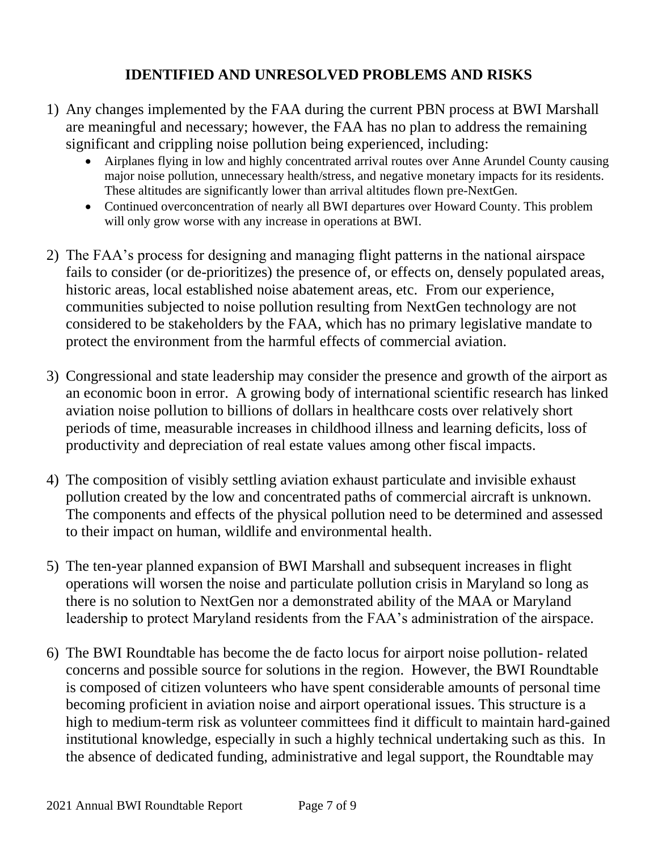## **IDENTIFIED AND UNRESOLVED PROBLEMS AND RISKS**

- 1) Any changes implemented by the FAA during the current PBN process at BWI Marshall are meaningful and necessary; however, the FAA has no plan to address the remaining significant and crippling noise pollution being experienced, including:
	- Airplanes flying in low and highly concentrated arrival routes over Anne Arundel County causing major noise pollution, unnecessary health/stress, and negative monetary impacts for its residents. These altitudes are significantly lower than arrival altitudes flown pre-NextGen.
	- Continued overconcentration of nearly all BWI departures over Howard County. This problem will only grow worse with any increase in operations at BWI.
- 2) The FAA's process for designing and managing flight patterns in the national airspace fails to consider (or de-prioritizes) the presence of, or effects on, densely populated areas, historic areas, local established noise abatement areas, etc. From our experience, communities subjected to noise pollution resulting from NextGen technology are not considered to be stakeholders by the FAA, which has no primary legislative mandate to protect the environment from the harmful effects of commercial aviation.
- 3) Congressional and state leadership may consider the presence and growth of the airport as an economic boon in error. A growing body of international scientific research has linked aviation noise pollution to billions of dollars in healthcare costs over relatively short periods of time, measurable increases in childhood illness and learning deficits, loss of productivity and depreciation of real estate values among other fiscal impacts.
- 4) The composition of visibly settling aviation exhaust particulate and invisible exhaust pollution created by the low and concentrated paths of commercial aircraft is unknown. The components and effects of the physical pollution need to be determined and assessed to their impact on human, wildlife and environmental health.
- 5) The ten-year planned expansion of BWI Marshall and subsequent increases in flight operations will worsen the noise and particulate pollution crisis in Maryland so long as there is no solution to NextGen nor a demonstrated ability of the MAA or Maryland leadership to protect Maryland residents from the FAA's administration of the airspace.
- 6) The BWI Roundtable has become the de facto locus for airport noise pollution- related concerns and possible source for solutions in the region. However, the BWI Roundtable is composed of citizen volunteers who have spent considerable amounts of personal time becoming proficient in aviation noise and airport operational issues. This structure is a high to medium-term risk as volunteer committees find it difficult to maintain hard-gained institutional knowledge, especially in such a highly technical undertaking such as this. In the absence of dedicated funding, administrative and legal support, the Roundtable may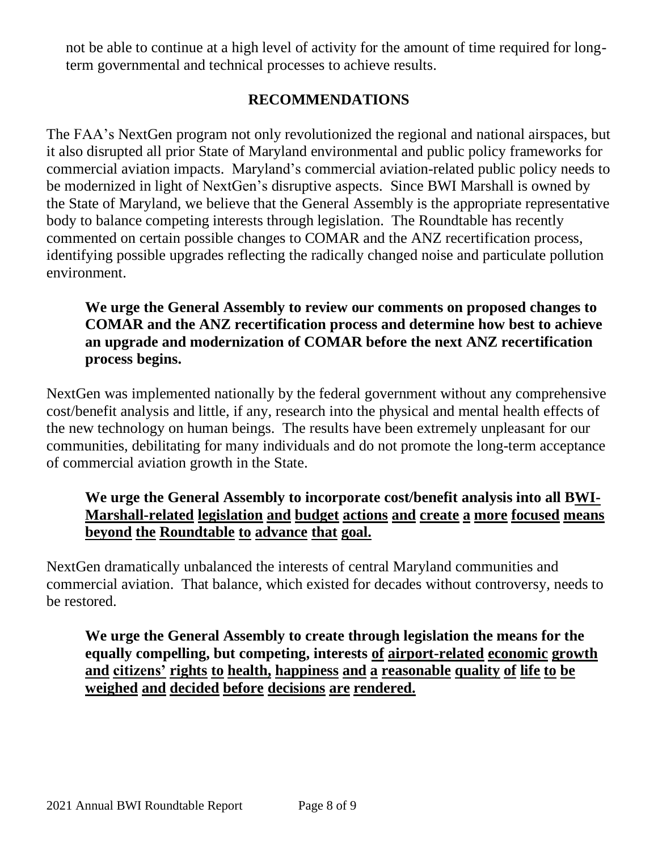not be able to continue at a high level of activity for the amount of time required for longterm governmental and technical processes to achieve results.

# **RECOMMENDATIONS**

The FAA's NextGen program not only revolutionized the regional and national airspaces, but it also disrupted all prior State of Maryland environmental and public policy frameworks for commercial aviation impacts. Maryland's commercial aviation-related public policy needs to be modernized in light of NextGen's disruptive aspects. Since BWI Marshall is owned by the State of Maryland, we believe that the General Assembly is the appropriate representative body to balance competing interests through legislation. The Roundtable has recently commented on certain possible changes to COMAR and the ANZ recertification process, identifying possible upgrades reflecting the radically changed noise and particulate pollution environment.

#### **We urge the General Assembly to review our comments on proposed changes to COMAR and the ANZ recertification process and determine how best to achieve an upgrade and modernization of COMAR before the next ANZ recertification process begins.**

NextGen was implemented nationally by the federal government without any comprehensive cost/benefit analysis and little, if any, research into the physical and mental health effects of the new technology on human beings. The results have been extremely unpleasant for our communities, debilitating for many individuals and do not promote the long-term acceptance of commercial aviation growth in the State.

## **We urge the General Assembly to incorporate cost/benefit analysis into all BWI-Marshall-related legislation and budget actions and create a more focused means beyond the Roundtable to advance that goal.**

NextGen dramatically unbalanced the interests of central Maryland communities and commercial aviation. That balance, which existed for decades without controversy, needs to be restored.

**We urge the General Assembly to create through legislation the means for the equally compelling, but competing, interests of airport-related economic growth and citizens' rights to health, happiness and a reasonable quality of life to be weighed and decided before decisions are rendered.**